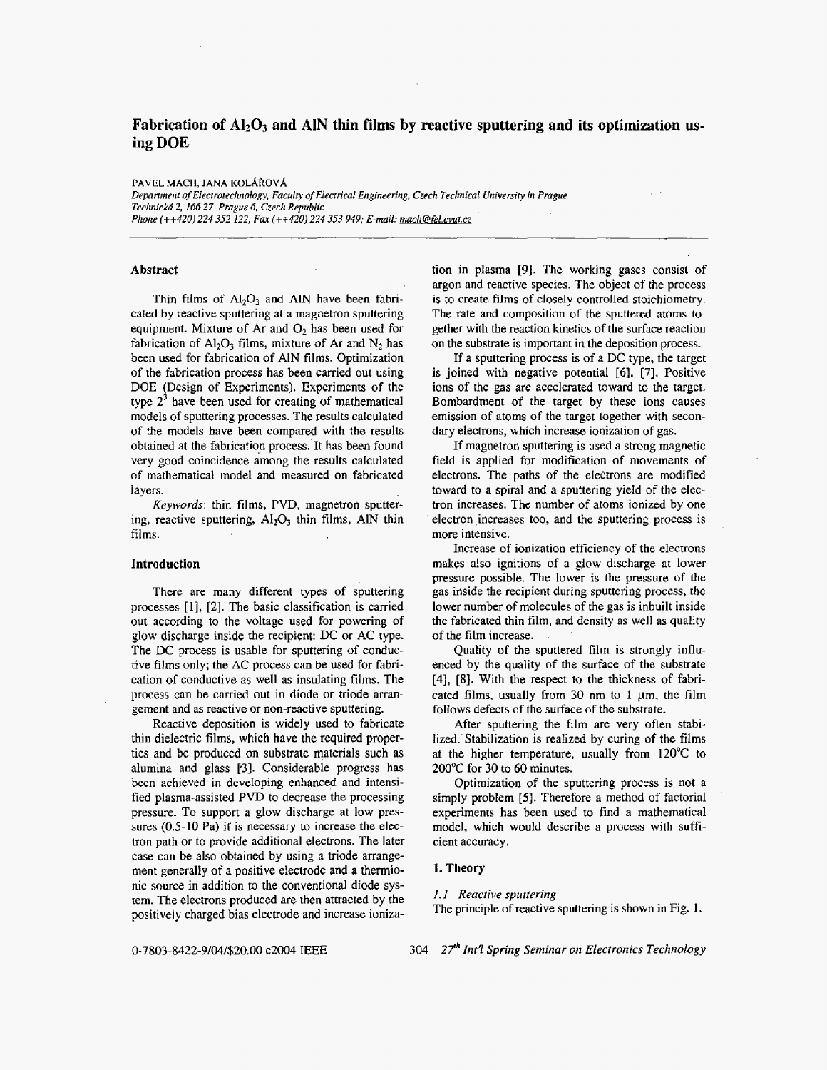# Fabrication of Al<sub>2</sub>O<sub>3</sub> and AlN thin films by reactive sputtering and its optimization us**ing DOE**

**PAVEL MACH, JANA KOLÁŘOVÁ** 

*Drparirrierif of Eleciroierlinology, Faculty of Elecrrical Engineering, Czech Technical Uriiversiry in Prague Technickd* **2,** *166* **27** *Prague* 6, *Czech Republic Plme (++4201224 352 122, Fax (++no) 224 353 949: E-mail: rnach@kl.cvut.rz* 

**Abstract** 

Thin films of  $AI_2O_3$  and AIN have been fabricated by reactive sputtering at a magnetron sputtering equipment. Mixture of Ar and O<sub>2</sub> has been used for fabrication of  $AI_2O_3$  films, mixture of Ar and  $N_2$  has been used for fabrication of **AIN films.** Optimization of the fabrication process has been carried out using DUE (Design of Experiments). Experiments of the type **z3** have been used for creating of mathematical models of sputtering processes. The results calculated of the models have been compared with the results obtained at the fabrication process.' It has been found very good coincidence among the results calculated of mathematical model and measured on fabricated layers.

*Keywords:* thin films, PVD, magnetron sputrering, reactive sputtering,  $AI<sub>2</sub>O<sub>3</sub>$  thin films, AIN thin films.

### **Introduction**

There are many different types of sputtering processes [l], [Z]. The basic classification is carried out according to the voltage used for powering of glow discharge inside the recipient: DC or **AC** type. The **DC** process is usable for sputtering **of** conductive **films** only; the **AC** process can be used for fabrication of conductive *as* well as insulating films. The process can be carried out in diode or triode arrangement and as reactive or non-reactive sputtering.

Reactive deposition is widely **used** to fabricate thin dielectric films, which have the required properties and be produced on **substrate materials** such as alumina and glass *83.* Considerable progress has been achieved in developing enhanced and intensified plasma-assisted PVD to decrease the processing pressure. To support a glow discharge at low **pres**sures (0.5-10 Pa) it is necessary to increase the electron path or to provide additional electrons. The later case can be also obtained by using a triode arrangement generally of a positive electrode and a thermionic source in addition to the conventional diode **system.** The electrons produced are then attracted by the positively charged bias electrode and increase ioniza-

tion in plasma **[9].** The working gases consist of argon and reactive species. The object of the process is to create films of closely controlled stoichiometry. The rate and composition of **the** sputtered atoms together with the reaction kinetics of the surface reaction on the substrate is important in the deposition process.

If a sputtering process is of a DC type, the target is joined with negative potential [6], (71. Positive ions of the gas are accelerated toward to the target. Bombardment of the target by these ions causes emission of atoms of the target together with secondary electrons, which increase ionization of gas.

If magnetron sputtering is used *a* strong magnetic field is applied for modification of movements of electrons. The paths of the electrons are modified toward to a spiral and a sputtering yield of the electron increases. The number of atoms ionized **by** one electron ,increases too, and the sputtering process is more intensive.

Increase of ionization efficiency of the electrons makes also ignitions of a glow discharge at lower pressure possible. The lower **is** the pressure of the **gas** inside the recipient during sputtering process, the lower number of molecules of the gas is inbuilt inside the fabricated thin **film,** and density as well **as** quality of the film increase. .

Quality of the sputtered film is strongly influenced by the quality of the surface of the substrate **[4], [8].** With **the** respect to the thickness of fabricated films, usually from  $30 \text{ nm}$  to 1  $\mu$ m, the film follows defects of the surface of **the** substrate.

After sputtering the film are very often stabilized. Stabilization is realized by curing of the films at the higher temperature, usually from 120'C to *200°C* for **30** to *60* minutes.

Optimization **of** the sputtering process is not a simply problem *[5].* Therefore a method of factorial experiments has been used to find a mathematical model, which would describe a process with sufficient accuracy.

# **1. Theory**

#### *1.1 Reactive sputtering*

The principle of reactive sputtering is shown in Fig. **1.** 

0-7803-8422-9/04/\$20.00 c2004 IEEE

*304 2rh Int'l Spring Seminar on Electronics Technology*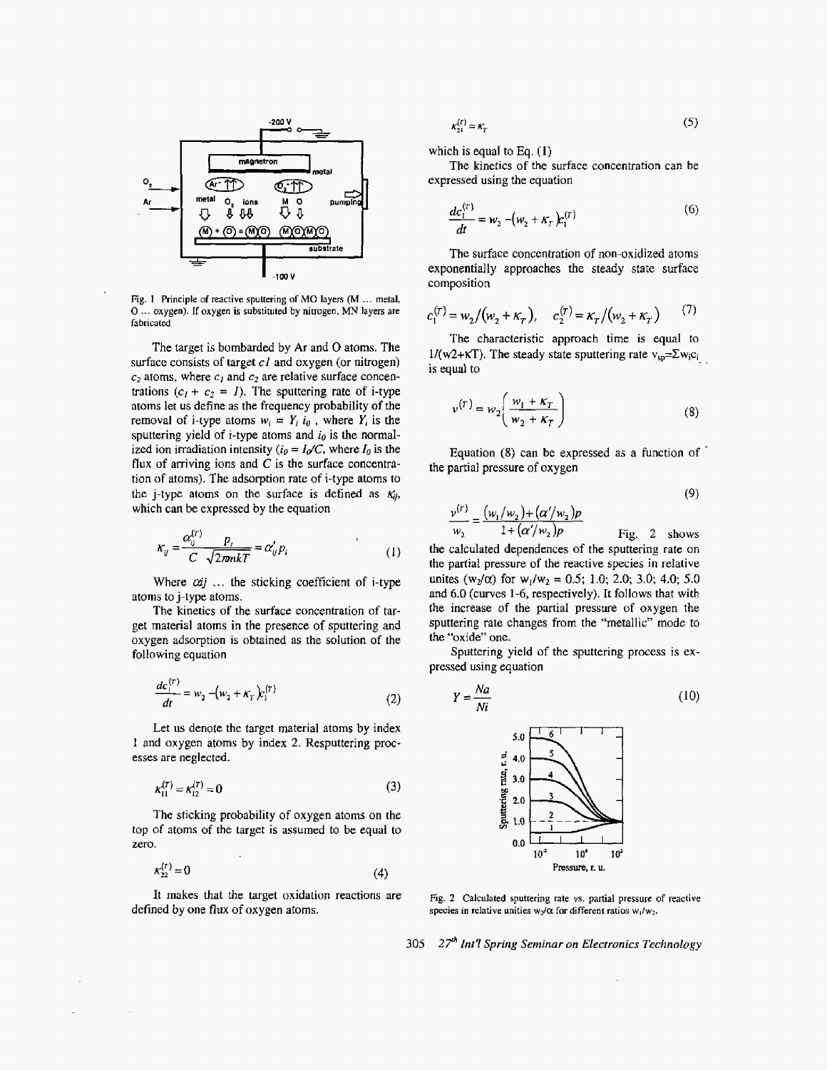

**Fig. 1 Principle of reactive sputtering of MO layers (M** ... **metal, 0** .. . **oxygen).** If **oxygen is substituted by** nitrogen. **MN layers are fabricated** 

The target is bombarded by **Ar** and 0 atoms. The surface consists of target *cl* and **oxygen** (or nitrogen)  $c_2$  atoms, where  $c_1$  and  $c_2$  are relative surface concentrations  $(c_1 + c_2 = I)$ . The sputtering rate of *i*-type atoms let us define as the frequency probability of the removal of *i*-type atoms  $w_i = Y_i$  *i<sub>0</sub>*, where  $Y_i$  is the sputtering yield of *i*-type atoms and  $i_0$  is the normalized ion irradiation intensity  $(i_0 = I_0/C$ , where  $I_0$  is the **flux** of arriving ions and C is the surface concentration of atoms). The adsorption rate of i-type atoms to the j-type atoms on the surface is defined as *Kj,*  which can be expressed by the equation

$$
K_{ij} = \frac{\alpha_{ij}^{(T)} - p_i}{C \sqrt{2m\kappa T}} = \alpha_{ij}' p_i \tag{1}
$$

Where *caj* ... the sticking coefficient of i-type atoms to j-type atoms.

The kinetics of the surface concentration of **tar**get material atoms in the presence of sputtering and oxygen adsorption is obtained as the solution of the following equation

$$
\frac{dc_1^{(\tau)}}{dt} = w_2 - (w_2 + \kappa_T) c_1^{(\tau)} \tag{2}
$$

Let us denote the target material atoms by index 1 and oxygen atoms by index **2.** Resputtering proc*esses* are neglected.

$$
\kappa_{11}^{(7)} = \kappa_{12}^{(7)} = 0 \tag{3}
$$

The sticking probability of oxygen atoms on the top of atoms of the target **is** assumed to be equal to zero.

$$
\kappa_{22}^{(r)} = 0 \tag{4}
$$

It makes that the target oxidation reactions are defined by one flux of oxygen atoms.

$$
\kappa_{21}^{(T)} = \kappa_T \tag{5}
$$

which is equal to Eq. (1)

expressed using the equation The kinetics of the surface concentration can be

$$
\frac{dc_1^{(r)}}{dt} = w_2 - (w_2 + \kappa_r) c_1^{(r)}
$$
\n(6)

The surface concentration of non-oxidized atoms exponentially approaches the steady state surface composition

$$
c_1^{(r)} = w_2/(w_2 + \kappa_r), \quad c_2^{(r)} = \kappa_r/(w_2 + \kappa_r) \qquad (7)
$$

The characteristic approach time is equal to  $1/(w2+\kappa T)$ . The steady state sputtering rate  $v_{\rm so} = \sum w_i c_i$ . is equal to

$$
v^{(T)} = w_2 \left( \frac{w_1 + \kappa_T}{w_2 + \kappa_T} \right) \tag{8}
$$

Equation **(8)** can **be** expressed as a function of ' **the** partial pressure of oxygen

*(9)* 

$$
\frac{v^{(r)}}{w_2} = \frac{(w_1/w_2) + (\alpha'/w_2)p}{1 + (\alpha'/w_2)p}
$$
\nFig. 2 shows

the calculated dependences of the sputtering rate on the partial pressure of the reactive species in relative unites  $(w_2/\alpha)$  for  $w_1/w_2 = 0.5$ ; 1.0; 2.0; 3.0; 4.0; 5.0 and 6.0 (curves 1-6, respectively). It follows that with the increase of the partiaI pressure of oxygen the sputtering rate changes from the "metallic" mode to the "oxide" one.

Sputtering yield of the sputtering process is expressed using equation

$$
Y = \frac{Na}{Ni}
$$
\n(10)  
\n
$$
\frac{3.0}{6} = \frac{6}{5}
$$
\n(11)  
\n
$$
\frac{3.0}{5} = \frac{6}{5}
$$
\n(12)  
\n
$$
\frac{3}{5} = \frac{1}{2} = \frac{3}{5}
$$
\n(13)  
\n
$$
\frac{2}{10^{2}} = \frac{2}{10^{6}} = \frac{1}{10^{6}}
$$
\n(14)

**Fig. 2 Calculated sputtering rate vs. partial pressure** of **reactive**  species in relative unities  $w_2/\alpha$  for different ratios  $w_1/w_2$ .

**Pressure, r. U.** 

*305 2Th Intl Spring Seminar on Electronics Technology*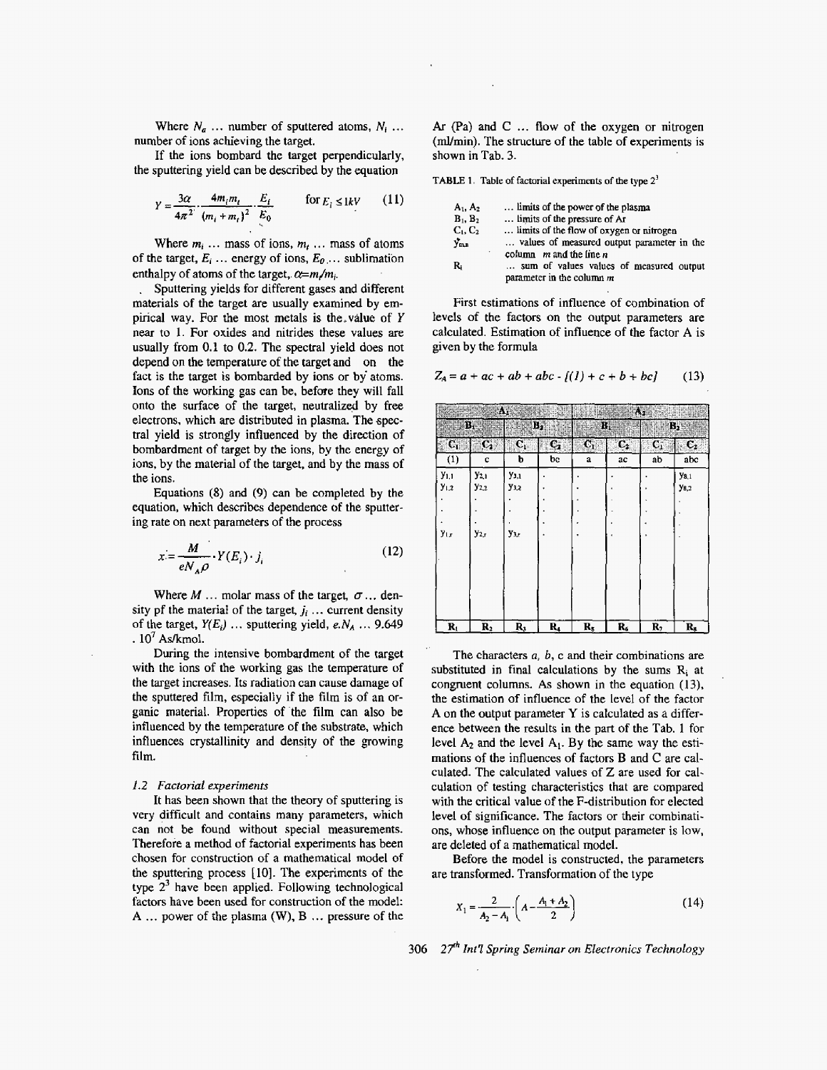Where  $N_a$  ... number of sputtered atoms,  $N_i$  ... number of ions achieving the target.

If the ions bombard the target perpendicularly, the sputtering yield **can** be described by the equation

$$
Y = \frac{3\alpha}{4\pi^2} \cdot \frac{4m_i m_t}{(m_i + m_t)^2} \cdot \frac{E_i}{E_0}
$$
 for  $E_i \le 1kV$  (11)

Where  $m_i$   $\ldots$  mass of ions,  $m_t$   $\ldots$  mass of atoms of the target,  $E_i$  ... energy of ions,  $E_0$  ... sublimation enthalpy of atoms of the target,  $\alpha = m/m_i$ .

. Sputtering yields for different gases and different materials of the target are usually examined by empirical way. For the most metals is the,value of *Y*  **near** to 1. For oxides and nitrides these values **are**  usually from 0.1 to **0.2.** The spectral yield does not depend on the temperature of the target and on the fact is the target is bombarded by ions or by atoms. Ions of the working gas can be, before they will fall onto the surface of the target, neutralized by **free**  electrons, which are distributed in plasma. **The** spectral yield is strongly influenced by the direction of bombardment of target by the ions, **by** the energy of ions, by the material of the target, and by **the** mass of the ions.

Equations (8) **and (9)** can be completed by the equation, which describes dependence of the sputtering rate on next parameters of the process

$$
x = \frac{M}{eN_A\rho} \cdot Y(E_i) \cdot j_i \tag{12}
$$

Where  $M$  ... molar mass of the target,  $\sigma$ ... density pf the material of the target,  $j_i$   $\ldots$  current density of the target,  $Y(E_i)$  ... sputtering yield,  $e.N_A$  ... 9.649 .  $10^7$  As/kmol.

During the intensive bombardment of the target with the ions of the working **gas** the temperature of the target increases. Its radiation can cause damage of the sputtered **film,** especially if the film is of an organic material. Properties of the **film** can also be influenced by the temperature of **the** substrate, which influences crystallinity and density of the growing film.

#### *1.2 Factorial experiments*

It has been shown that the theory of sputtering is very difficult and contains many parameters, which can not **be** found without **special** measurements. Therefore a method of factorial experiments has been chosen far construction of a mathematical model **of**  the sputtering process **[lo].** The experiments of the type **z3** have been applied. Following technological factors have been used for construction of the model: **<sup>A</sup>**... power of the plasma **(W),** B ... pressure of **the** 

*Ar* (Pa) and **C** ... Bow of the oxygen or nitrogen (ml/min). The structure of the table of experiments is shown in Tab. 3.

**TABLE 1.** Table of factorial experiments of the type  $2^3$ 

| $A_1, A_2$    | limits of the power of the plasma                                      |  |  |  |  |  |
|---------------|------------------------------------------------------------------------|--|--|--|--|--|
| $B_1, B_2$    | limits of the pressure of Ar                                           |  |  |  |  |  |
| $C_1, C_2$    | limits of the flow of oxygen or nitrogen.                              |  |  |  |  |  |
| $y_{\rm max}$ | values of measured output parameter in the                             |  |  |  |  |  |
|               | column $m$ and the line $n$                                            |  |  |  |  |  |
| R.            | sum of values values of measured output<br>parameter in the column $m$ |  |  |  |  |  |

First estimations of influence of combination of levels of the factors on the output parameters are calculated. Estimation of influence of the factor **A** is given by the formula

| $Z_A = a + ac + ab + abc - [(1) + c + b + bc]$ (13) |  |  |  |
|-----------------------------------------------------|--|--|--|
|-----------------------------------------------------|--|--|--|

|                | Δ,               |                           |                | $\mathbf{A}_2$ |                |                  |                  |
|----------------|------------------|---------------------------|----------------|----------------|----------------|------------------|------------------|
|                | B.               |                           | $\mathbf{B}_2$ | R,             |                | $\mathbf{E}_2$   |                  |
| $\mathbf{c}_1$ | $\mathbf{C}_3$   | $\mathbf{C}_1$            | $\mathbf{C}_2$ | C,             | $\mathbf{c}_i$ | $\mathbf{C}_{1}$ | c.               |
| (1)            | c                | b                         | bc             | a              | $\rm ac$       | ab               | abc              |
| $y_{1,1}$      | Y <sub>2</sub> 1 | $y_{3,1}$                 |                |                |                |                  | ys <sub>.1</sub> |
| $y_{1,2}$      | Y22              | <b>Y3.2</b>               |                |                |                |                  | y <sub>8,2</sub> |
|                |                  |                           |                |                |                |                  |                  |
|                |                  |                           |                |                |                |                  |                  |
|                |                  |                           |                |                |                |                  |                  |
| $y_{1x}$       | y2,              | y <sub>3</sub> .          |                |                |                |                  |                  |
|                |                  |                           |                |                |                |                  |                  |
|                |                  |                           |                |                |                |                  |                  |
|                |                  |                           |                |                |                |                  |                  |
| $\mathbf{R}_1$ | $R_2$            | $\overline{\mathbf{R}_2}$ | R,             | $R_{s}$        | $\mathbf{R}_4$ | R,               | $R_{s}$          |

**The** characters *a, b,* c and their combinations **are**  substituted in final calculations by the sums  $R_i$  at congruent columns. **As** shown in the equation (13), the estimation of influence of the level of the factor **A** on the output parameter Y is calculated as a difference between the results in the **part of** the Tab. 1 for level **A2** and the level **A,.** By the same way the estimations of the influences of factors B and C are calculated. The calculated values of Z are used for calculation of testing characteristics that are compared with the critical value of the F-distribution for elected level of significance. The factors or their combinations, whose influence on the output parameter **is** low, are deleted of a mathematical model.

Before the model is constructed, the parameters are transformed. Transformation of the type

$$
X_1 = \frac{2}{A_2 - A_1} \cdot \left( A - \frac{A_1 + A_2}{2} \right) \tag{14}
$$

*306 2Th Int'l Spring Seminar on Electronics Technology*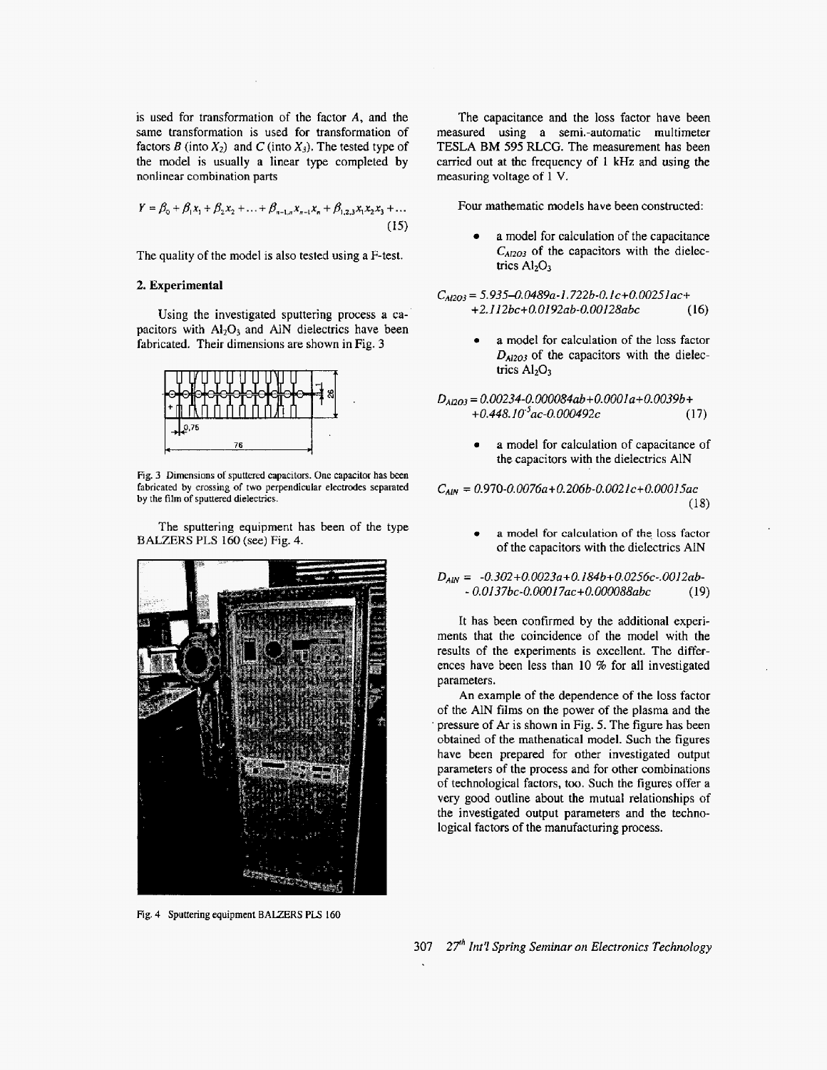**is** used for transformation of the factor **A,** and the same transformation is used **for** transformation **of**  factors *B* (into  $X_2$ ) and *C* (into  $X_3$ ). The tested type of the model is usually a linear **type** completed by nonlinear combination parts

$$
Y = \beta_0 + \beta_1 x_1 + \beta_2 x_2 + \dots + \beta_{n-1,n} x_{n-1} x_n + \beta_{1,2,3} x_1 x_2 x_3 + \dots
$$
\n(15)

The quality of the model is also tested using a F-test.

### **2. Experimental**

Using the investigated sputtering process a capacitors with  $AI<sub>2</sub>O<sub>3</sub>$  and AIN dielectrics have been fabricated. Their dimensions are shown in Fig. 3



**Fig. 3 Dimensions of sputtered** capacitors. **One capacitor has** been **fabricated by** crossing **of two perpendicular electrodes separated by the film of sputtered dielectrics.** 

The sputtering equipment has been of the type BALZERS PLS 160 (see) Fig. **4.** 



**Fig. 4 Sputtering equipment BALZERS PLS 160** 

The capacitance and the loss factor have been measured using a semi.-automatic multimeter TESLA **BM** 595 RLCG. The measurement has been carried out at the frequency of 1 kHz and using the measuring voltage of 1 V.

Four mathematic models have been constructed:

a model for calculation of the capacitance  $C_{A12O3}$  of the capacitors with the dielectrics Al<sub>2</sub>O<sub>3</sub>

*CA~203* = *5.93540489a-1.7226-0. ic+0.U0251ac+ +2.112bc+0.0192ab-U.UOI28abc* **(16)** 

> a model for calculation of the **loss** factor *DA1203* of the capacitors with the dielectrics  $Al<sub>2</sub>O<sub>3</sub>$

$$
D_{A12O3} = 0.00234-0.000084ab+0.0001a+0.0039b++0.448.10-5ac-0.000492c
$$
 (17)

a model for calculation of capacitance of the capacitors with the dielectrics **A1N** 

*CAm* = *0.970-U. 0076a+ 0.206b-0.002ic+U.00015ac*  (18)

> **a** model **for calculation** of **the** loss factor of the capacitors with the dielectrics AIN

$$
D_{AlN} = -0.302 + 0.0023a + 0.184b + 0.0256c - 0012ab - 0.0137bc - 0.00017ac + 0.000088abc
$$
 (19)

It has been confirmed by the additional experiments that the coincidence of the model with the results of the experiments **is** excellent. The differences have been less than 10 % for all investigated parameters.

An example of the dependence of the loss factor of the **A1N** films on the power of the plasma and the pressure of **Ar** is shown in Fig. S. The figure has been obtained of the mathenatical model. Such the figures have been prepared for other investigated output parameters of the process and for other combinations of technological factors, too. Such the figures offer a very good outline about the mutual relationships of the investigated output parameters and the technological factors of the manufacturing process.

307 *2Th Int'l Spring Seminar on Electronics Technology*